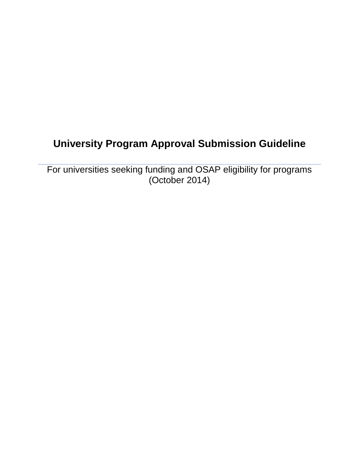# **University Program Approval Submission Guideline**

For universities seeking funding and OSAP eligibility for programs (October 2014)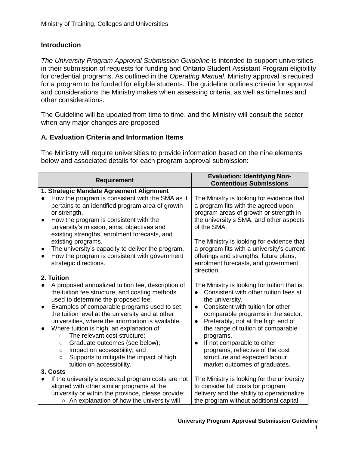# **Introduction**

*The University Program Approval Submission Guideline* is intended to support universities in their submission of requests for funding and Ontario Student Assistant Program eligibility for credential programs. As outlined in the *Operating Manual*, Ministry approval is required for a program to be funded for eligible students. The guideline outlines criteria for approval and considerations the Ministry makes when assessing criteria, as well as timelines and other considerations.

The Guideline will be updated from time to time, and the Ministry will consult the sector when any major changes are proposed

# **A. Evaluation Criteria and Information Items**

The Ministry will require universities to provide information based on the nine elements below and associated details for each program approval submission:

| <b>Requirement</b>                                                                                                                                                                                                                                                                                                                                                                                                                                                                                                                                                                               | <b>Evaluation: Identifying Non-</b><br><b>Contentious Submissions</b>                                                                                                                                                                                                                                                                                                                                                                      |
|--------------------------------------------------------------------------------------------------------------------------------------------------------------------------------------------------------------------------------------------------------------------------------------------------------------------------------------------------------------------------------------------------------------------------------------------------------------------------------------------------------------------------------------------------------------------------------------------------|--------------------------------------------------------------------------------------------------------------------------------------------------------------------------------------------------------------------------------------------------------------------------------------------------------------------------------------------------------------------------------------------------------------------------------------------|
| 1. Strategic Mandate Agreement Alignment<br>How the program is consistent with the SMA as it<br>$\bullet$<br>pertains to an identified program area of growth<br>or strength.<br>How the program is consistent with the<br>university's mission, aims, objectives and<br>existing strengths, enrolment forecasts, and<br>existing programs.<br>The university's capacity to deliver the program.<br>$\bullet$<br>How the program is consistent with government<br>$\bullet$<br>strategic directions.                                                                                             | The Ministry is looking for evidence that<br>a program fits with the agreed upon<br>program areas of growth or strength in<br>the university's SMA, and other aspects<br>of the SMA.<br>The Ministry is looking for evidence that<br>a program fits with a university's current<br>offerings and strengths, future plans,<br>enrolment forecasts, and government<br>direction.                                                             |
| 2. Tuition<br>A proposed annualized tuition fee, description of<br>the tuition fee structure, and costing methods<br>used to determine the proposed fee.<br>Examples of comparable programs used to set<br>$\bullet$<br>the tuition level at the university and at other<br>universities, where the information is available.<br>Where tuition is high, an explanation of:<br>The relevant cost structure;<br>$\circ$<br>Graduate outcomes (see below);<br>$\circ$<br>Impact on accessibility; and<br>$\circ$<br>Supports to mitigate the impact of high<br>$\circ$<br>tuition on accessibility. | The Ministry is looking for tuition that is:<br>Consistent with other tuition fees at<br>$\bullet$<br>the university.<br>Consistent with tuition for other<br>comparable programs in the sector.<br>Preferably, not at the high end of<br>$\bullet$<br>the range of tuition of comparable<br>programs.<br>If not comparable to other<br>programs, reflective of the cost<br>structure and expected labour<br>market outcomes of graduates. |
| 3. Costs<br>If the university's expected program costs are not<br>$\bullet$<br>aligned with other similar programs at the<br>university or within the province, please provide:<br>○ An explanation of how the university will                                                                                                                                                                                                                                                                                                                                                                   | The Ministry is looking for the university<br>to consider full costs for program<br>delivery and the ability to operationalize<br>the program without additional capital                                                                                                                                                                                                                                                                   |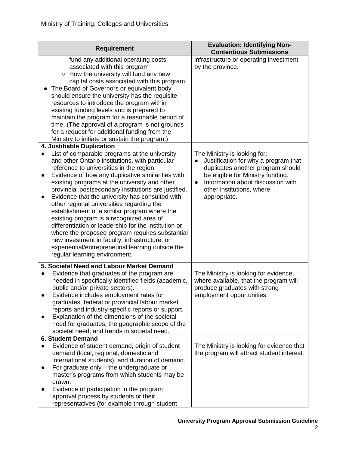| <b>Requirement</b>                                                                                                                                                                                                                                                                                                                                                                                                                                                                                                                                                                                                                                                                                                                                                                                               | <b>Evaluation: Identifying Non-</b><br><b>Contentious Submissions</b>                                                                                                                                                                         |
|------------------------------------------------------------------------------------------------------------------------------------------------------------------------------------------------------------------------------------------------------------------------------------------------------------------------------------------------------------------------------------------------------------------------------------------------------------------------------------------------------------------------------------------------------------------------------------------------------------------------------------------------------------------------------------------------------------------------------------------------------------------------------------------------------------------|-----------------------------------------------------------------------------------------------------------------------------------------------------------------------------------------------------------------------------------------------|
| fund any additional operating costs<br>associated with this program<br>○ How the university will fund any new<br>capital costs associated with this program.<br>The Board of Governors or equivalent body<br>should ensure the university has the requisite<br>resources to introduce the program within<br>existing funding levels and is prepared to<br>maintain the program for a reasonable period of<br>time. (The approval of a program is not grounds<br>for a request for additional funding from the<br>Ministry to initiate or sustain the program.)                                                                                                                                                                                                                                                   | infrastructure or operating investment<br>by the province.                                                                                                                                                                                    |
| 4. Justifiable Duplication<br>List of comparable programs at the university<br>and other Ontario institutions, with particular<br>reference to universities in the region.<br>Evidence of how any duplicative similarities with<br>$\bullet$<br>existing programs at the university and other<br>provincial postsecondary institutions are justified.<br>Evidence that the university has consulted with<br>$\bullet$<br>other regional universities regarding the<br>establishment of a similar program where the<br>existing program is a recognized area of<br>differentiation or leadership for the institution or<br>where the proposed program requires substantial<br>new investment in faculty, infrastructure, or<br>experiential/entrepreneurial learning outside the<br>regular learning environment. | The Ministry is looking for:<br>Justification for why a program that<br>duplicates another program should<br>be eligible for Ministry funding.<br>Information about discussion with<br>$\bullet$<br>other institutions, where<br>appropriate. |
| 5. Societal Need and Labour Market Demand<br>Evidence that graduates of the program are<br>$\bullet$<br>needed in specifically identified fields (academic,<br>public and/or private sectors).<br>Evidence includes employment rates for<br>graduates, federal or provincial labour market<br>reports and industry-specific reports or support.<br>Explanation of the dimensions of the societal<br>need for graduates, the geographic scope of the<br>societal need; and trends in societal need.                                                                                                                                                                                                                                                                                                               | The Ministry is looking for evidence,<br>where available, that the program will<br>produce graduates with strong<br>employment opportunities.                                                                                                 |
| <b>6. Student Demand</b><br>Evidence of student demand, origin of student<br>$\bullet$<br>demand (local, regional, domestic and<br>international students), and duration of demand.<br>For graduate only - the undergraduate or<br>$\bullet$<br>master's programs from which students may be<br>drawn.<br>Evidence of participation in the program<br>approval process by students or their<br>representatives (for example through student                                                                                                                                                                                                                                                                                                                                                                      | The Ministry is looking for evidence that<br>the program will attract student interest.                                                                                                                                                       |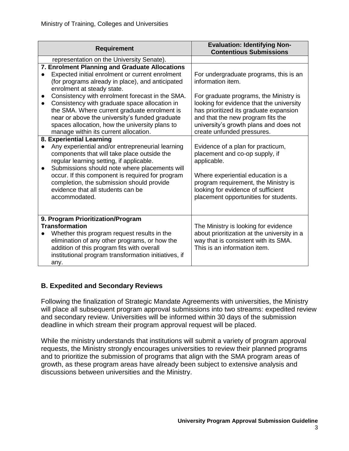| <b>Requirement</b>                                                                                                                                                                                                                                                                                                                                                                                                                                                    | <b>Evaluation: Identifying Non-</b><br><b>Contentious Submissions</b>                                                                                                                                                                                                        |
|-----------------------------------------------------------------------------------------------------------------------------------------------------------------------------------------------------------------------------------------------------------------------------------------------------------------------------------------------------------------------------------------------------------------------------------------------------------------------|------------------------------------------------------------------------------------------------------------------------------------------------------------------------------------------------------------------------------------------------------------------------------|
| representation on the University Senate).                                                                                                                                                                                                                                                                                                                                                                                                                             |                                                                                                                                                                                                                                                                              |
| 7. Enrolment Planning and Graduate Allocations<br>Expected initial enrolment or current enrolment<br>(for programs already in place), and anticipated<br>enrolment at steady state.<br>Consistency with enrolment forecast in the SMA.<br>$\bullet$<br>Consistency with graduate space allocation in<br>$\bullet$<br>the SMA. Where current graduate enrolment is<br>near or above the university's funded graduate<br>spaces allocation, how the university plans to | For undergraduate programs, this is an<br>information item.<br>For graduate programs, the Ministry is<br>looking for evidence that the university<br>has prioritized its graduate expansion<br>and that the new program fits the<br>university's growth plans and does not   |
| manage within its current allocation.<br>8. Experiential Learning<br>Any experiential and/or entrepreneurial learning<br>components that will take place outside the<br>regular learning setting, if applicable.<br>Submissions should note where placements will<br>occur. If this component is required for program<br>completion, the submission should provide<br>evidence that all students can be<br>accommodated.                                              | create unfunded pressures.<br>Evidence of a plan for practicum,<br>placement and co-op supply, if<br>applicable.<br>Where experiential education is a<br>program requirement, the Ministry is<br>looking for evidence of sufficient<br>placement opportunities for students. |
| 9. Program Prioritization/Program<br><b>Transformation</b><br>Whether this program request results in the<br>elimination of any other programs, or how the<br>addition of this program fits with overall<br>institutional program transformation initiatives, if<br>any.                                                                                                                                                                                              | The Ministry is looking for evidence<br>about prioritization at the university in a<br>way that is consistent with its SMA.<br>This is an information item.                                                                                                                  |

# **B. Expedited and Secondary Reviews**

Following the finalization of Strategic Mandate Agreements with universities, the Ministry will place all subsequent program approval submissions into two streams: expedited review and secondary review. Universities will be informed within 30 days of the submission deadline in which stream their program approval request will be placed.

While the ministry understands that institutions will submit a variety of program approval requests, the Ministry strongly encourages universities to review their planned programs and to prioritize the submission of programs that align with the SMA program areas of growth, as these program areas have already been subject to extensive analysis and discussions between universities and the Ministry.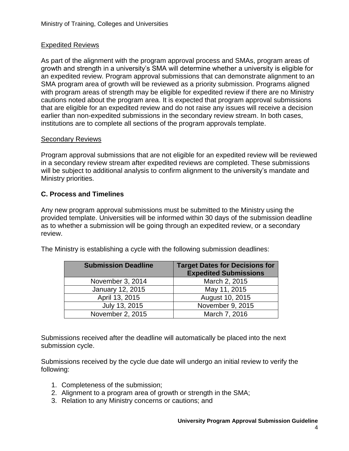# Expedited Reviews

As part of the alignment with the program approval process and SMAs, program areas of growth and strength in a university's SMA will determine whether a university is eligible for an expedited review. Program approval submissions that can demonstrate alignment to an SMA program area of growth will be reviewed as a priority submission. Programs aligned with program areas of strength may be eligible for expedited review if there are no Ministry cautions noted about the program area. It is expected that program approval submissions that are eligible for an expedited review and do not raise any issues will receive a decision earlier than non-expedited submissions in the secondary review stream. In both cases, institutions are to complete all sections of the program approvals template.

# Secondary Reviews

Program approval submissions that are not eligible for an expedited review will be reviewed in a secondary review stream after expedited reviews are completed. These submissions will be subject to additional analysis to confirm alignment to the university's mandate and Ministry priorities.

# **C. Process and Timelines**

Any new program approval submissions must be submitted to the Ministry using the provided template. Universities will be informed within 30 days of the submission deadline as to whether a submission will be going through an expedited review, or a secondary review.

The Ministry is establishing a cycle with the following submission deadlines:

| <b>Submission Deadline</b> | <b>Target Dates for Decisions for</b><br><b>Expedited Submissions</b> |  |  |
|----------------------------|-----------------------------------------------------------------------|--|--|
| November 3, 2014           | March 2, 2015                                                         |  |  |
| January 12, 2015           | May 11, 2015                                                          |  |  |
| April 13, 2015             | August 10, 2015                                                       |  |  |
| July 13, 2015              | November 9, 2015                                                      |  |  |
| November 2, 2015           | March 7, 2016                                                         |  |  |

Submissions received after the deadline will automatically be placed into the next submission cycle.

Submissions received by the cycle due date will undergo an initial review to verify the following:

- 1. Completeness of the submission;
- 2. Alignment to a program area of growth or strength in the SMA;
- 3. Relation to any Ministry concerns or cautions; and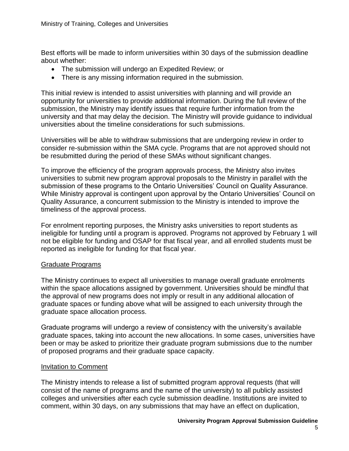Best efforts will be made to inform universities within 30 days of the submission deadline about whether:

- The submission will undergo an Expedited Review; or
- There is any missing information required in the submission.

This initial review is intended to assist universities with planning and will provide an opportunity for universities to provide additional information. During the full review of the submission, the Ministry may identify issues that require further information from the university and that may delay the decision. The Ministry will provide guidance to individual universities about the timeline considerations for such submissions.

Universities will be able to withdraw submissions that are undergoing review in order to consider re-submission within the SMA cycle. Programs that are not approved should not be resubmitted during the period of these SMAs without significant changes.

To improve the efficiency of the program approvals process, the Ministry also invites universities to submit new program approval proposals to the Ministry in parallel with the submission of these programs to the Ontario Universities' Council on Quality Assurance. While Ministry approval is contingent upon approval by the Ontario Universities' Council on Quality Assurance, a concurrent submission to the Ministry is intended to improve the timeliness of the approval process.

For enrolment reporting purposes, the Ministry asks universities to report students as ineligible for funding until a program is approved. Programs not approved by February 1 will not be eligible for funding and OSAP for that fiscal year, and all enrolled students must be reported as ineligible for funding for that fiscal year.

# Graduate Programs

The Ministry continues to expect all universities to manage overall graduate enrolments within the space allocations assigned by government. Universities should be mindful that the approval of new programs does not imply or result in any additional allocation of graduate spaces or funding above what will be assigned to each university through the graduate space allocation process.

Graduate programs will undergo a review of consistency with the university's available graduate spaces, taking into account the new allocations. In some cases, universities have been or may be asked to prioritize their graduate program submissions due to the number of proposed programs and their graduate space capacity.

# Invitation to Comment

The Ministry intends to release a list of submitted program approval requests (that will consist of the name of programs and the name of the university) to all publicly assisted colleges and universities after each cycle submission deadline. Institutions are invited to comment, within 30 days, on any submissions that may have an effect on duplication,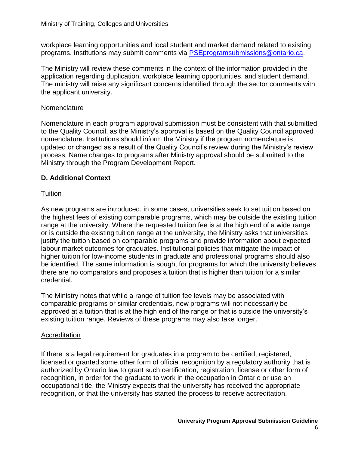workplace learning opportunities and local student and market demand related to existing programs. Institutions may submit comments via [PSEprogramsubmissions@ontario.ca.](mailto:PSEprogramsubmissions@ontario.ca)

The Ministry will review these comments in the context of the information provided in the application regarding duplication, workplace learning opportunities, and student demand. The ministry will raise any significant concerns identified through the sector comments with the applicant university.

### **Nomenclature**

Nomenclature in each program approval submission must be consistent with that submitted to the Quality Council, as the Ministry's approval is based on the Quality Council approved nomenclature. Institutions should inform the Ministry if the program nomenclature is updated or changed as a result of the Quality Council's review during the Ministry's review process. Name changes to programs after Ministry approval should be submitted to the Ministry through the Program Development Report.

# **D. Additional Context**

# **Tuition**

As new programs are introduced, in some cases, universities seek to set tuition based on the highest fees of existing comparable programs, which may be outside the existing tuition range at the university. Where the requested tuition fee is at the high end of a wide range or is outside the existing tuition range at the university, the Ministry asks that universities justify the tuition based on comparable programs and provide information about expected labour market outcomes for graduates. Institutional policies that mitigate the impact of higher tuition for low-income students in graduate and professional programs should also be identified. The same information is sought for programs for which the university believes there are no comparators and proposes a tuition that is higher than tuition for a similar credential.

The Ministry notes that while a range of tuition fee levels may be associated with comparable programs or similar credentials, new programs will not necessarily be approved at a tuition that is at the high end of the range or that is outside the university's existing tuition range. Reviews of these programs may also take longer.

# **Accreditation**

If there is a legal requirement for graduates in a program to be certified, registered, licensed or granted some other form of official recognition by a regulatory authority that is authorized by Ontario law to grant such certification, registration, license or other form of recognition, in order for the graduate to work in the occupation in Ontario or use an occupational title, the Ministry expects that the university has received the appropriate recognition, or that the university has started the process to receive accreditation.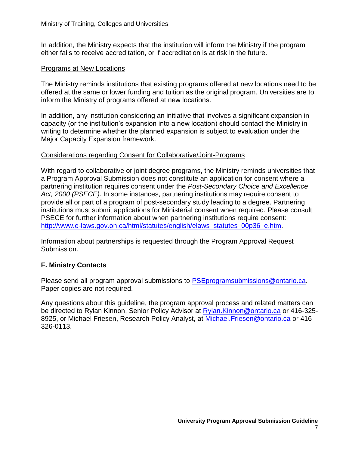In addition, the Ministry expects that the institution will inform the Ministry if the program either fails to receive accreditation, or if accreditation is at risk in the future.

#### Programs at New Locations

The Ministry reminds institutions that existing programs offered at new locations need to be offered at the same or lower funding and tuition as the original program. Universities are to inform the Ministry of programs offered at new locations.

In addition, any institution considering an initiative that involves a significant expansion in capacity (or the institution's expansion into a new location) should contact the Ministry in writing to determine whether the planned expansion is subject to evaluation under the Major Capacity Expansion framework.

#### Considerations regarding Consent for Collaborative/Joint-Programs

With regard to collaborative or joint degree programs, the Ministry reminds universities that a Program Approval Submission does not constitute an application for consent where a partnering institution requires consent under the *Post-Secondary Choice and Excellence Act, 2000 (PSECE)*. In some instances, partnering institutions may require consent to provide all or part of a program of post-secondary study leading to a degree. Partnering institutions must submit applications for Ministerial consent when required. Please consult PSECE for further information about when partnering institutions require consent: [http://www.e-laws.gov.on.ca/html/statutes/english/elaws\\_statutes\\_00p36\\_e.htm.](http://www.e-laws.gov.on.ca/html/statutes/english/elaws_statutes_00p36_e.htm)

Information about partnerships is requested through the Program Approval Request Submission.

# **F. Ministry Contacts**

Please send all program approval submissions to [PSEprogramsubmissions@ontario.ca.](mailto:PSEprogramsubmissions@ontario.ca) Paper copies are not required.

Any questions about this guideline, the program approval process and related matters can be directed to Rylan Kinnon, Senior Policy Advisor at [Rylan.Kinnon@ontario.ca](mailto:Rylan.Kinnon@ontario.ca) or 416-325- 8925, or Michael Friesen, Research Policy Analyst, at Michael. Friesen@ontario.ca or 416-326-0113.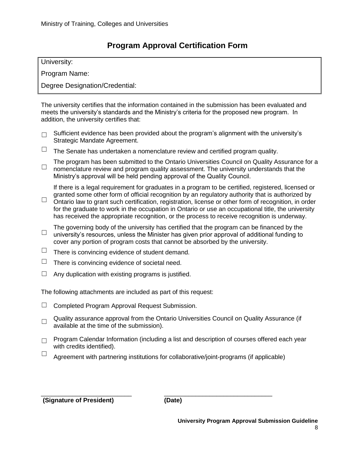# **Program Approval Certification Form**

University:

Program Name:

Degree Designation/Credential:

The university certifies that the information contained in the submission has been evaluated and meets the university's standards and the Ministry's criteria for the proposed new program. In addition, the university certifies that:

- □ Sufficient evidence has been provided about the program's alignment with the university's Strategic Mandate Agreement.
- $\Box$  The Senate has undertaken a nomenclature review and certified program quality.

☐ The program has been submitted to the Ontario Universities Council on Quality Assurance for a nomenclature review and program quality assessment. The university understands that the Ministry's approval will be held pending approval of the Quality Council.

If there is a legal requirement for graduates in a program to be certified, registered, licensed or granted some other form of official recognition by an regulatory authority that is authorized by

- ☐ Ontario law to grant such certification, registration, license or other form of recognition, in order for the graduate to work in the occupation in Ontario or use an occupational title, the university has received the appropriate recognition, or the process to receive recognition is underway.
- $\Box$  university's resources, unless the Minister has given prior approval of additional funding to The governing body of the university has certified that the program can be financed by the cover any portion of program costs that cannot be absorbed by the university.
- $\Box$  There is convincing evidence of student demand.
- $\Box$  There is convincing evidence of societal need.
- $\Box$  Any duplication with existing programs is justified.

The following attachments are included as part of this request:

- $\Box$  Completed Program Approval Request Submission.
- □ Quality assurance approval from the Ontario Universities Council on Quality Assurance (if available at the time of the submission).
- □ Program Calendar Information (including a list and description of courses offered each year with credits identified).
- $\Box$  Agreement with partnering institutions for collaborative/joint-programs (if applicable)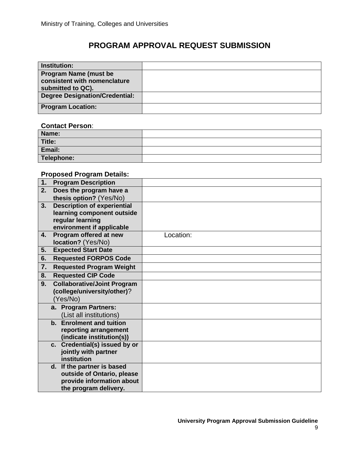# **PROGRAM APPROVAL REQUEST SUBMISSION**

| <b>Institution:</b>                                                               |  |
|-----------------------------------------------------------------------------------|--|
| <b>Program Name (must be</b><br>consistent with nomenclature<br>submitted to QC). |  |
| Degree Designation/Credential:                                                    |  |
| <b>Program Location:</b>                                                          |  |

#### **Contact Person**:

| Name:      |  |
|------------|--|
| Title:     |  |
| Email:     |  |
| Telephone: |  |

# **Proposed Program Details:**

| 1.<br><b>Program Description</b>                   |           |
|----------------------------------------------------|-----------|
| Does the program have a<br>2.                      |           |
| thesis option? (Yes/No)                            |           |
| <b>Description of experiential</b><br>3.           |           |
| learning component outside                         |           |
| regular learning                                   |           |
| environment if applicable                          |           |
| Program offered at new<br>4.                       | Location: |
| location? (Yes/No)                                 |           |
| <b>Expected Start Date</b><br>5.                   |           |
| <b>Requested FORPOS Code</b><br>6.                 |           |
| 7.<br><b>Requested Program Weight</b>              |           |
| <b>Requested CIP Code</b><br>8.                    |           |
| <b>Collaborative/Joint Program</b><br>9.           |           |
| (college/university/other)?                        |           |
| (Yes/No)                                           |           |
| a. Program Partners:                               |           |
| (List all institutions)                            |           |
| b. Enrolment and tuition                           |           |
| reporting arrangement                              |           |
| (indicate institution(s))                          |           |
| c. Credential(s) issued by or                      |           |
| jointly with partner                               |           |
| institution                                        |           |
| d. If the partner is based                         |           |
| outside of Ontario, please                         |           |
| provide information about<br>the program delivery. |           |
|                                                    |           |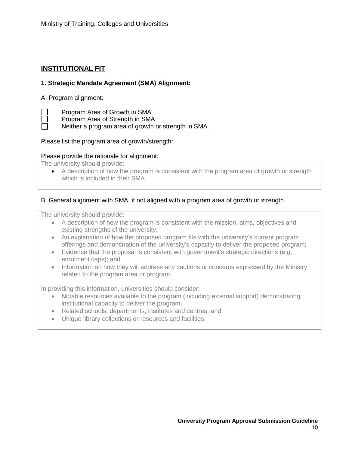# **INSTITUTIONAL FIT**

### **1. Strategic Mandate Agreement (SMA) Alignment:**

#### A. Program alignment:

Program Area of Growth in SMA

Program Area of Strength in SMA

Neither a program area of growth or strength in SMA

#### Please list the program area of growth/strength:

#### Please provide the rationale for alignment:

The university should provide:

 A description of how the program is consistent with the program area of growth or strength which is included in their SMA

#### B. General alignment with SMA, if not aligned with a program area of growth or strength

The university should provide:

- A description of how the program is consistent with the mission, aims, objectives and existing strengths of the university;
- An explanation of how the proposed program fits with the university's current program offerings and demonstration of the university's capacity to deliver the proposed program;
- Evidence that the proposal is consistent with government's strategic directions (e.g., enrolment caps); and
- Information on how they will address any cautions or concerns expressed by the Ministry related to the program area or program.

In providing this information, universities should consider:

- Notable resources available to the program (including external support) demonstrating institutional capacity to deliver the program;
- Related schools, departments, institutes and centres; and
- Unique library collections or resources and facilities.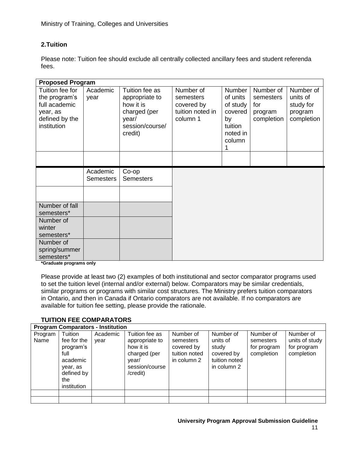# **2.Tuition**

Please note: Tuition fee should exclude all centrally collected ancillary fees and student referenda fees.

| <b>Proposed Program</b>                                                                        |                              |                                                                                                      |                                                                      |                                                                                         |                                                        |                                                             |  |  |
|------------------------------------------------------------------------------------------------|------------------------------|------------------------------------------------------------------------------------------------------|----------------------------------------------------------------------|-----------------------------------------------------------------------------------------|--------------------------------------------------------|-------------------------------------------------------------|--|--|
| Tuition fee for<br>the program's<br>full academic<br>year, as<br>defined by the<br>institution | Academic<br>year             | Tuition fee as<br>appropriate to<br>how it is<br>charged (per<br>year/<br>session/course/<br>credit) | Number of<br>semesters<br>covered by<br>tuition noted in<br>column 1 | <b>Number</b><br>of units<br>of study<br>covered<br>by<br>tuition<br>noted in<br>column | Number of<br>semesters<br>for<br>program<br>completion | Number of<br>units of<br>study for<br>program<br>completion |  |  |
|                                                                                                |                              |                                                                                                      |                                                                      |                                                                                         |                                                        |                                                             |  |  |
|                                                                                                | Academic<br><b>Semesters</b> | $Co$ -op<br><b>Semesters</b>                                                                         |                                                                      |                                                                                         |                                                        |                                                             |  |  |
| Number of fall                                                                                 |                              |                                                                                                      |                                                                      |                                                                                         |                                                        |                                                             |  |  |
| semesters*                                                                                     |                              |                                                                                                      |                                                                      |                                                                                         |                                                        |                                                             |  |  |
| Number of<br>winter                                                                            |                              |                                                                                                      |                                                                      |                                                                                         |                                                        |                                                             |  |  |
| semesters*                                                                                     |                              |                                                                                                      |                                                                      |                                                                                         |                                                        |                                                             |  |  |
| Number of                                                                                      |                              |                                                                                                      |                                                                      |                                                                                         |                                                        |                                                             |  |  |
| spring/summer                                                                                  |                              |                                                                                                      |                                                                      |                                                                                         |                                                        |                                                             |  |  |
| semesters*                                                                                     |                              |                                                                                                      |                                                                      |                                                                                         |                                                        |                                                             |  |  |

**\*Graduate programs only**

Please provide at least two (2) examples of both institutional and sector comparator programs used to set the tuition level (internal and/or external) below. Comparators may be similar credentials, similar programs or programs with similar cost structures. The Ministry prefers tuition comparators in Ontario, and then in Canada if Ontario comparators are not available. If no comparators are available for tuition fee setting, please provide the rationale.

# **TUITION FEE COMPARATORS**

|                 | <b>Program Comparators - Institution</b>                                                                |                  |                                                                                                      |                                                                      |                                                                              |                                                     |                                                          |  |  |
|-----------------|---------------------------------------------------------------------------------------------------------|------------------|------------------------------------------------------------------------------------------------------|----------------------------------------------------------------------|------------------------------------------------------------------------------|-----------------------------------------------------|----------------------------------------------------------|--|--|
| Program<br>Name | Tuition<br>fee for the<br>program's<br>full<br>academic<br>year, as<br>defined by<br>the<br>institution | Academic<br>year | Tuition fee as<br>appropriate to<br>how it is<br>charged (per<br>year/<br>session/course<br>/credit) | Number of<br>semesters<br>covered by<br>tuition noted<br>in column 2 | Number of<br>units of<br>study<br>covered by<br>tuition noted<br>in column 2 | Number of<br>semesters<br>for program<br>completion | Number of<br>units of study<br>for program<br>completion |  |  |
|                 |                                                                                                         |                  |                                                                                                      |                                                                      |                                                                              |                                                     |                                                          |  |  |
|                 |                                                                                                         |                  |                                                                                                      |                                                                      |                                                                              |                                                     |                                                          |  |  |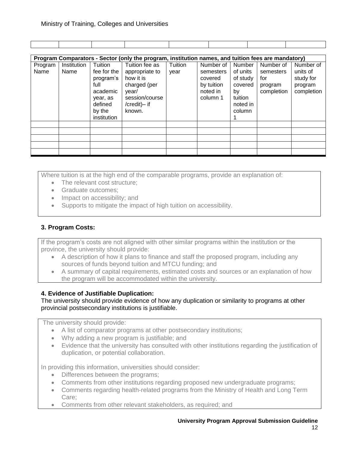|                 | Program Comparators - Sector (only the program, institution names, and tuition fees are mandatory) |                                                                                                         |                                                                                                                    |                 |                                                                         |                                                                                  |                                                        |                                                             |
|-----------------|----------------------------------------------------------------------------------------------------|---------------------------------------------------------------------------------------------------------|--------------------------------------------------------------------------------------------------------------------|-----------------|-------------------------------------------------------------------------|----------------------------------------------------------------------------------|--------------------------------------------------------|-------------------------------------------------------------|
| Program<br>Name | Institution<br>Name                                                                                | Tuition<br>fee for the<br>program's<br>full<br>academic<br>year, as<br>defined<br>by the<br>institution | Tuition fee as<br>appropriate to<br>how it is<br>charged (per<br>year/<br>session/course<br>/credit)- if<br>known. | Tuition<br>year | Number of<br>semesters<br>covered<br>by tuition<br>noted in<br>column 1 | Number<br>of units<br>of study<br>covered<br>by<br>tuition<br>noted in<br>column | Number of<br>semesters<br>for<br>program<br>completion | Number of<br>units of<br>study for<br>program<br>completion |
|                 |                                                                                                    |                                                                                                         |                                                                                                                    |                 |                                                                         |                                                                                  |                                                        |                                                             |
|                 |                                                                                                    |                                                                                                         |                                                                                                                    |                 |                                                                         |                                                                                  |                                                        |                                                             |
|                 |                                                                                                    |                                                                                                         |                                                                                                                    |                 |                                                                         |                                                                                  |                                                        |                                                             |
|                 |                                                                                                    |                                                                                                         |                                                                                                                    |                 |                                                                         |                                                                                  |                                                        |                                                             |
|                 |                                                                                                    |                                                                                                         |                                                                                                                    |                 |                                                                         |                                                                                  |                                                        |                                                             |

Where tuition is at the high end of the comparable programs, provide an explanation of:

- The relevant cost structure;
- Graduate outcomes;
- Impact on accessibility; and
- Supports to mitigate the impact of high tuition on accessibility.

# **3. Program Costs:**

If the program's costs are not aligned with other similar programs within the institution or the province, the university should provide:

- A description of how it plans to finance and staff the proposed program, including any sources of funds beyond tuition and MTCU funding; and
- A summary of capital requirements, estimated costs and sources or an explanation of how the program will be accommodated within the university.

#### **4. Evidence of Justifiable Duplication:**

The university should provide evidence of how any duplication or similarity to programs at other provincial postsecondary institutions is justifiable.

The university should provide:

- A list of comparator programs at other postsecondary institutions;
- Why adding a new program is justifiable; and
- Evidence that the university has consulted with other institutions regarding the justification of duplication, or potential collaboration.

In providing this information, universities should consider:

- Differences between the programs;
- Comments from other institutions regarding proposed new undergraduate programs;
- Comments regarding health-related programs from the Ministry of Health and Long Term Care;
- Comments from other relevant stakeholders, as required; and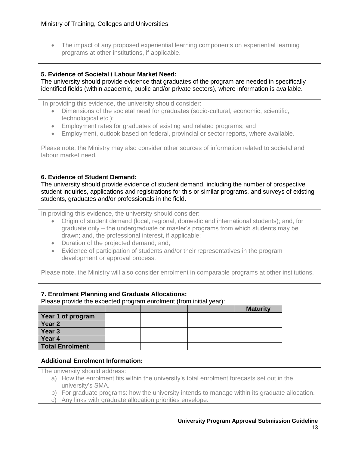The impact of any proposed experiential learning components on experiential learning programs at other institutions, if applicable.

#### **5. Evidence of Societal / Labour Market Need:**

The university should provide evidence that graduates of the program are needed in specifically identified fields (within academic, public and/or private sectors), where information is available.

In providing this evidence, the university should consider:

- Dimensions of the societal need for graduates (socio-cultural, economic, scientific, technological etc.);
- Employment rates for graduates of existing and related programs; and
- Employment, outlook based on federal, provincial or sector reports, where available.

Please note, the Ministry may also consider other sources of information related to societal and labour market need.

#### **6. Evidence of Student Demand:**

The university should provide evidence of student demand, including the number of prospective student inquiries, applications and registrations for this or similar programs, and surveys of existing students, graduates and/or professionals in the field.

In providing this evidence, the university should consider:

- Origin of student demand (local, regional, domestic and international students); and, for graduate only – the undergraduate or master's programs from which students may be drawn; and, the professional interest, if applicable;
- Duration of the projected demand; and,
- Evidence of participation of students and/or their representatives in the program development or approval process.

Please note, the Ministry will also consider enrolment in comparable programs at other institutions.

#### **7. Enrolment Planning and Graduate Allocations:**

Please provide the expected program enrolment (from initial year):

|                        |  | <b>Maturity</b> |
|------------------------|--|-----------------|
| Year 1 of program      |  |                 |
| Year 2                 |  |                 |
| Year 3                 |  |                 |
| Year 4                 |  |                 |
| <b>Total Enrolment</b> |  |                 |

#### **Additional Enrolment Information:**

The university should address:

- a) How the enrolment fits within the university's total enrolment forecasts set out in the university's SMA.
- b) For graduate programs: how the university intends to manage within its graduate allocation.
- c) Any links with graduate allocation priorities envelope.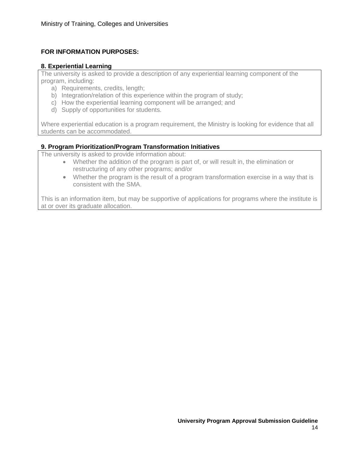# **FOR INFORMATION PURPOSES:**

#### **8. Experiential Learning**

The university is asked to provide a description of any experiential learning component of the program, including:

- a) Requirements, credits, length;
- b) Integration/relation of this experience within the program of study;
- c) How the experiential learning component will be arranged; and
- d) Supply of opportunities for students.

Where experiential education is a program requirement, the Ministry is looking for evidence that all students can be accommodated.

#### **9. Program Prioritization/Program Transformation Initiatives**

The university is asked to provide information about:

- Whether the addition of the program is part of, or will result in, the elimination or restructuring of any other programs; and/or
- Whether the program is the result of a program transformation exercise in a way that is consistent with the SMA.

This is an information item, but may be supportive of applications for programs where the institute is at or over its graduate allocation.